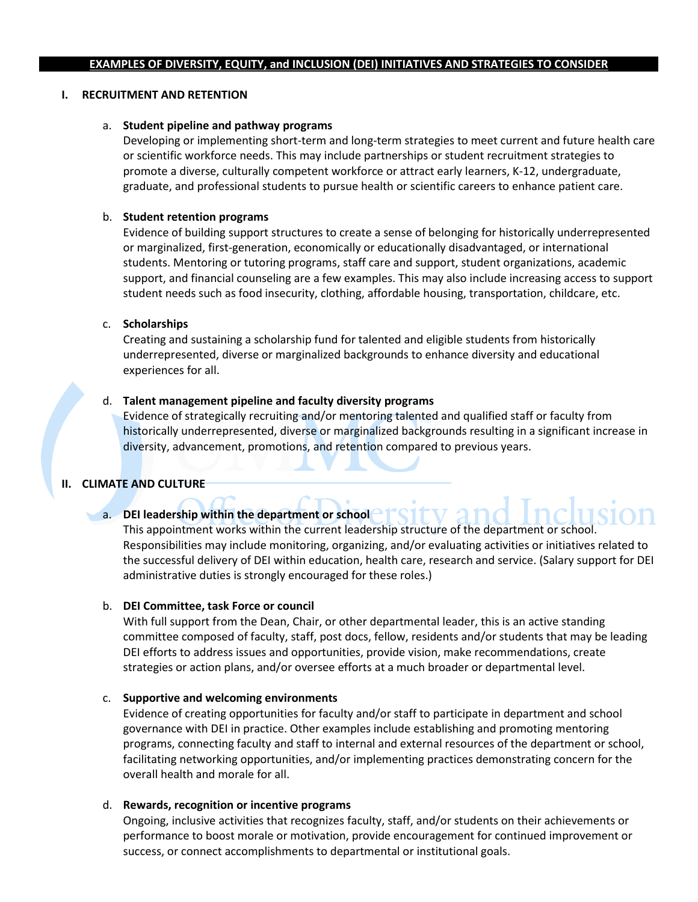### **I. RECRUITMENT AND RETENTION**

### a. **Student pipeline and pathway programs**

Developing or implementing short-term and long-term strategies to meet current and future health care or scientific workforce needs. This may include partnerships or student recruitment strategies to promote a diverse, culturally competent workforce or attract early learners, K-12, undergraduate, graduate, and professional students to pursue health or scientific careers to enhance patient care.

### b. **Student retention programs**

Evidence of building support structures to create a sense of belonging for historically underrepresented or marginalized, first-generation, economically or educationally disadvantaged, or international students. Mentoring or tutoring programs, staff care and support, student organizations, academic support, and financial counseling are a few examples. This may also include increasing access to support student needs such as food insecurity, clothing, affordable housing, transportation, childcare, etc.

### c. **Scholarships**

Creating and sustaining a scholarship fund for talented and eligible students from historically underrepresented, diverse or marginalized backgrounds to enhance diversity and educational experiences for all.

# d. **Talent management pipeline and faculty diversity programs**

Evidence of strategically recruiting and/or mentoring talented and qualified staff or faculty from historically underrepresented, diverse or marginalized backgrounds resulting in a significant increase in diversity, advancement, promotions, and retention compared to previous years.

# **II. CLIMATE AND CULTURE**

# a. **DEI leadership within the department or school**

This appointment works within the current leadership structure of the department or school. Responsibilities may include monitoring, organizing, and/or evaluating activities or initiatives related to the successful delivery of DEI within education, health care, research and service. (Salary support for DEI administrative duties is strongly encouraged for these roles.)

# b. **DEI Committee, task Force or council**

With full support from the Dean, Chair, or other departmental leader, this is an active standing committee composed of faculty, staff, post docs, fellow, residents and/or students that may be leading DEI efforts to address issues and opportunities, provide vision, make recommendations, create strategies or action plans, and/or oversee efforts at a much broader or departmental level.

#### c. **Supportive and welcoming environments**

Evidence of creating opportunities for faculty and/or staff to participate in department and school governance with DEI in practice. Other examples include establishing and promoting mentoring programs, connecting faculty and staff to internal and external resources of the department or school, facilitating networking opportunities, and/or implementing practices demonstrating concern for the overall health and morale for all.

#### d. **Rewards, recognition or incentive programs**

Ongoing, inclusive activities that recognizes faculty, staff, and/or students on their achievements or performance to boost morale or motivation, provide encouragement for continued improvement or success, or connect accomplishments to departmental or institutional goals.